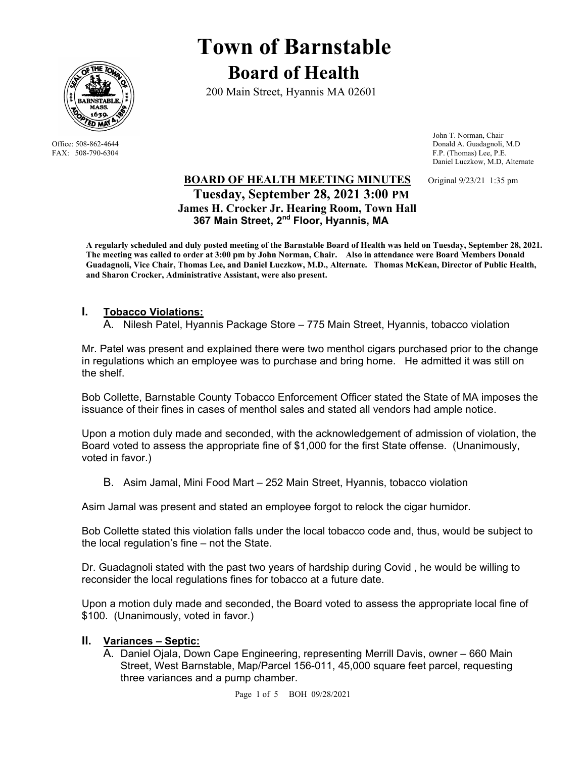

# **Town of Barnstable Board of Health**

200 Main Street, Hyannis MA 02601

 John T. Norman, Chair Office: 508-862-4644 Donald A. Guadagnoli, M.D<br>
FAX: 508-790-6304 FAX: 508-790-6304 F.P. (Thomas) Lee, P.E. F.P. (Thomas) Lee, P.E. Daniel Luczkow, M.D, Alternate

# **BOARD OF HEALTH MEETING MINUTES** Original 9/23/21 1:35 pm  **Tuesday, September 28, 2021 3:00 PM James H. Crocker Jr. Hearing Room, Town Hall 367 Main Street, 2nd Floor, Hyannis, MA**

**A regularly scheduled and duly posted meeting of the Barnstable Board of Health was held on Tuesday, September 28, 2021. The meeting was called to order at 3:00 pm by John Norman, Chair. Also in attendance were Board Members Donald Guadagnoli, Vice Chair, Thomas Lee, and Daniel Luczkow, M.D., Alternate. Thomas McKean, Director of Public Health, and Sharon Crocker, Administrative Assistant, were also present.** 

# **I. Tobacco Violations:**

A. Nilesh Patel, Hyannis Package Store – 775 Main Street, Hyannis, tobacco violation

Mr. Patel was present and explained there were two menthol cigars purchased prior to the change in regulations which an employee was to purchase and bring home. He admitted it was still on the shelf.

Bob Collette, Barnstable County Tobacco Enforcement Officer stated the State of MA imposes the issuance of their fines in cases of menthol sales and stated all vendors had ample notice.

Upon a motion duly made and seconded, with the acknowledgement of admission of violation, the Board voted to assess the appropriate fine of \$1,000 for the first State offense. (Unanimously, voted in favor.)

B. Asim Jamal, Mini Food Mart – 252 Main Street, Hyannis, tobacco violation

Asim Jamal was present and stated an employee forgot to relock the cigar humidor.

Bob Collette stated this violation falls under the local tobacco code and, thus, would be subject to the local regulation's fine – not the State.

Dr. Guadagnoli stated with the past two years of hardship during Covid , he would be willing to reconsider the local regulations fines for tobacco at a future date.

Upon a motion duly made and seconded, the Board voted to assess the appropriate local fine of \$100. (Unanimously, voted in favor.)

## **II. Variances – Septic:**

A. Daniel Ojala, Down Cape Engineering, representing Merrill Davis, owner – 660 Main Street, West Barnstable, Map/Parcel 156-011, 45,000 square feet parcel, requesting three variances and a pump chamber.

Page 1 of 5 BOH 09/28/2021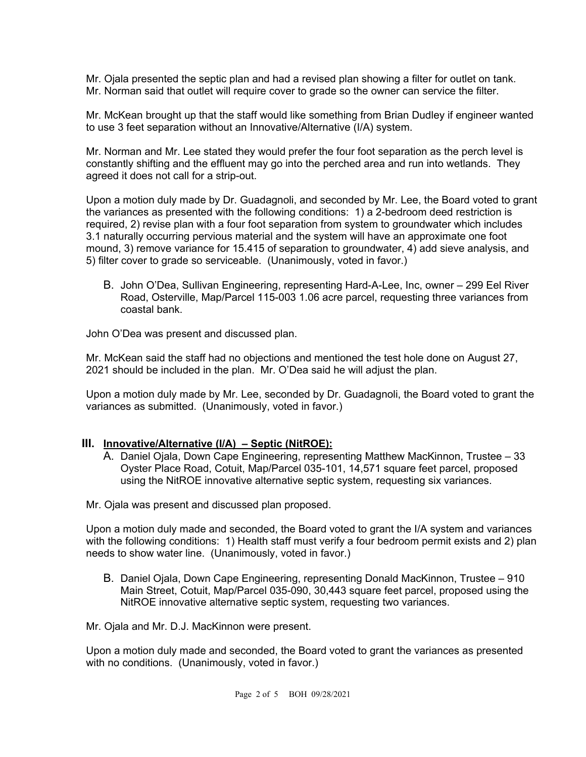Mr. Ojala presented the septic plan and had a revised plan showing a filter for outlet on tank. Mr. Norman said that outlet will require cover to grade so the owner can service the filter.

Mr. McKean brought up that the staff would like something from Brian Dudley if engineer wanted to use 3 feet separation without an Innovative/Alternative (I/A) system.

Mr. Norman and Mr. Lee stated they would prefer the four foot separation as the perch level is constantly shifting and the effluent may go into the perched area and run into wetlands. They agreed it does not call for a strip-out.

Upon a motion duly made by Dr. Guadagnoli, and seconded by Mr. Lee, the Board voted to grant the variances as presented with the following conditions: 1) a 2-bedroom deed restriction is required, 2) revise plan with a four foot separation from system to groundwater which includes 3.1 naturally occurring pervious material and the system will have an approximate one foot mound, 3) remove variance for 15.415 of separation to groundwater, 4) add sieve analysis, and 5) filter cover to grade so serviceable. (Unanimously, voted in favor.)

B. John O'Dea, Sullivan Engineering, representing Hard-A-Lee, Inc, owner – 299 Eel River Road, Osterville, Map/Parcel 115-003 1.06 acre parcel, requesting three variances from coastal bank.

John O'Dea was present and discussed plan.

Mr. McKean said the staff had no objections and mentioned the test hole done on August 27, 2021 should be included in the plan. Mr. O'Dea said he will adjust the plan.

Upon a motion duly made by Mr. Lee, seconded by Dr. Guadagnoli, the Board voted to grant the variances as submitted. (Unanimously, voted in favor.)

## **III. Innovative/Alternative (I/A) – Septic (NitROE):**

A. Daniel Ojala, Down Cape Engineering, representing Matthew MacKinnon, Trustee – 33 Oyster Place Road, Cotuit, Map/Parcel 035-101, 14,571 square feet parcel, proposed using the NitROE innovative alternative septic system, requesting six variances.

Mr. Ojala was present and discussed plan proposed.

Upon a motion duly made and seconded, the Board voted to grant the I/A system and variances with the following conditions: 1) Health staff must verify a four bedroom permit exists and 2) plan needs to show water line. (Unanimously, voted in favor.)

B. Daniel Ojala, Down Cape Engineering, representing Donald MacKinnon, Trustee – 910 Main Street, Cotuit, Map/Parcel 035-090, 30,443 square feet parcel, proposed using the NitROE innovative alternative septic system, requesting two variances.

Mr. Ojala and Mr. D.J. MacKinnon were present.

Upon a motion duly made and seconded, the Board voted to grant the variances as presented with no conditions. (Unanimously, voted in favor.)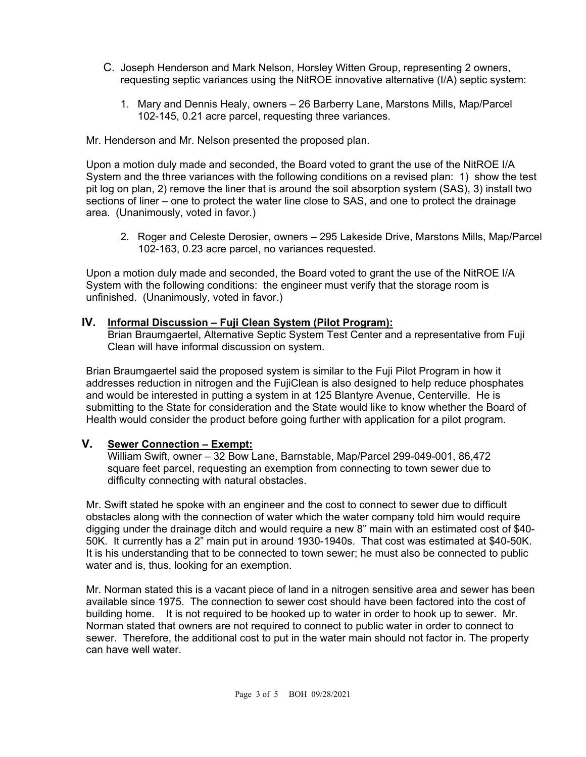- C. Joseph Henderson and Mark Nelson, Horsley Witten Group, representing 2 owners, requesting septic variances using the NitROE innovative alternative (I/A) septic system:
	- 1. Mary and Dennis Healy, owners 26 Barberry Lane, Marstons Mills, Map/Parcel 102-145, 0.21 acre parcel, requesting three variances.

Mr. Henderson and Mr. Nelson presented the proposed plan.

Upon a motion duly made and seconded, the Board voted to grant the use of the NitROE I/A System and the three variances with the following conditions on a revised plan: 1) show the test pit log on plan, 2) remove the liner that is around the soil absorption system (SAS), 3) install two sections of liner – one to protect the water line close to SAS, and one to protect the drainage area. (Unanimously, voted in favor.)

2. Roger and Celeste Derosier, owners – 295 Lakeside Drive, Marstons Mills, Map/Parcel 102-163, 0.23 acre parcel, no variances requested.

Upon a motion duly made and seconded, the Board voted to grant the use of the NitROE I/A System with the following conditions: the engineer must verify that the storage room is unfinished. (Unanimously, voted in favor.)

#### **IV. Informal Discussion – Fuji Clean System (Pilot Program):**

Brian Braumgaertel, Alternative Septic System Test Center and a representative from Fuji Clean will have informal discussion on system.

Brian Braumgaertel said the proposed system is similar to the Fuji Pilot Program in how it addresses reduction in nitrogen and the FujiClean is also designed to help reduce phosphates and would be interested in putting a system in at 125 Blantyre Avenue, Centerville. He is submitting to the State for consideration and the State would like to know whether the Board of Health would consider the product before going further with application for a pilot program.

## **V. Sewer Connection – Exempt:**

William Swift, owner – 32 Bow Lane, Barnstable, Map/Parcel 299-049-001, 86,472 square feet parcel, requesting an exemption from connecting to town sewer due to difficulty connecting with natural obstacles.

Mr. Swift stated he spoke with an engineer and the cost to connect to sewer due to difficult obstacles along with the connection of water which the water company told him would require digging under the drainage ditch and would require a new 8" main with an estimated cost of \$40- 50K. It currently has a 2" main put in around 1930-1940s. That cost was estimated at \$40-50K. It is his understanding that to be connected to town sewer; he must also be connected to public water and is, thus, looking for an exemption.

Mr. Norman stated this is a vacant piece of land in a nitrogen sensitive area and sewer has been available since 1975. The connection to sewer cost should have been factored into the cost of building home. It is not required to be hooked up to water in order to hook up to sewer. Mr. Norman stated that owners are not required to connect to public water in order to connect to sewer. Therefore, the additional cost to put in the water main should not factor in. The property can have well water.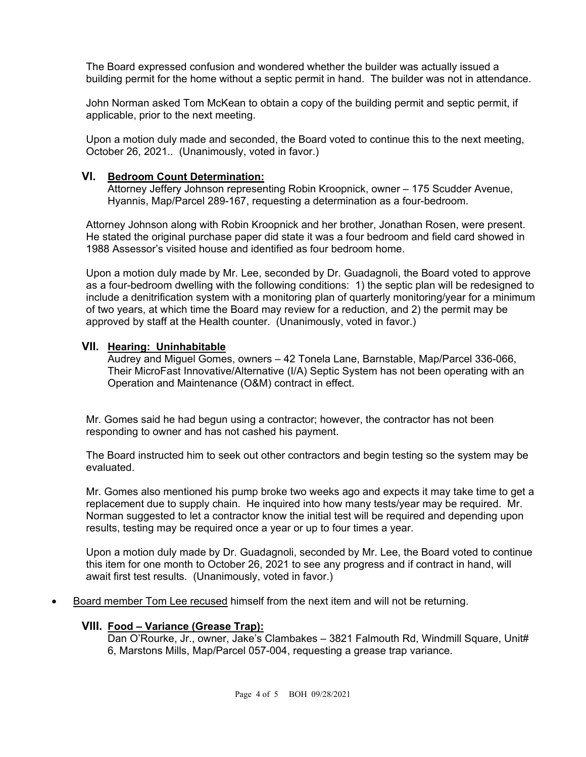The Board expressed confusion and wondered whether the builder was actually issued a building permit for the home without a septic permit in hand. The builder was not in attendance.

John Norman asked Tom McKean to obtain a copy of the building permit and septic permit, if applicable, prior to the next meeting.

Upon a motion duly made and seconded, the Board voted to continue this to the next meeting, October 26, 2021.. (Unanimously, voted in favor.)

#### **VI. Bedroom Count Determination:**

Attorney Jeffery Johnson representing Robin Kroopnick, owner – 175 Scudder Avenue, Hyannis, Map/Parcel 289-167, requesting a determination as a four-bedroom.

Attorney Johnson along with Robin Kroopnick and her brother, Jonathan Rosen, were present. He stated the original purchase paper did state it was a four bedroom and field card showed in 1988 Assessor's visited house and identified as four bedroom home.

Upon a motion duly made by Mr. Lee, seconded by Dr. Guadagnoli, the Board voted to approve as a four-bedroom dwelling with the following conditions: 1) the septic plan will be redesigned to include a denitrification system with a monitoring plan of quarterly monitoring/year for a minimum of two years, at which time the Board may review for a reduction, and 2) the permit may be approved by staff at the Health counter. (Unanimously, voted in favor.)

#### **VII. Hearing: Uninhabitable**

Audrey and Miguel Gomes, owners – 42 Tonela Lane, Barnstable, Map/Parcel 336-066, Their MicroFast Innovative/Alternative (I/A) Septic System has not been operating with an Operation and Maintenance (O&M) contract in effect.

Mr. Gomes said he had begun using a contractor; however, the contractor has not been responding to owner and has not cashed his payment.

The Board instructed him to seek out other contractors and begin testing so the system may be evaluated.

Mr. Gomes also mentioned his pump broke two weeks ago and expects it may take time to get a replacement due to supply chain. He inquired into how many tests/year may be required. Mr. Norman suggested to let a contractor know the initial test will be required and depending upon results, testing may be required once a year or up to four times a year.

Upon a motion duly made by Dr. Guadagnoli, seconded by Mr. Lee, the Board voted to continue this item for one month to October 26, 2021 to see any progress and if contract in hand, will await first test results. (Unanimously, voted in favor.)

• Board member Tom Lee recused himself from the next item and will not be returning.

#### **VIII. Food – Variance (Grease Trap):**

Dan O'Rourke, Jr., owner, Jake's Clambakes – 3821 Falmouth Rd, Windmill Square, Unit# 6, Marstons Mills, Map/Parcel 057-004, requesting a grease trap variance.